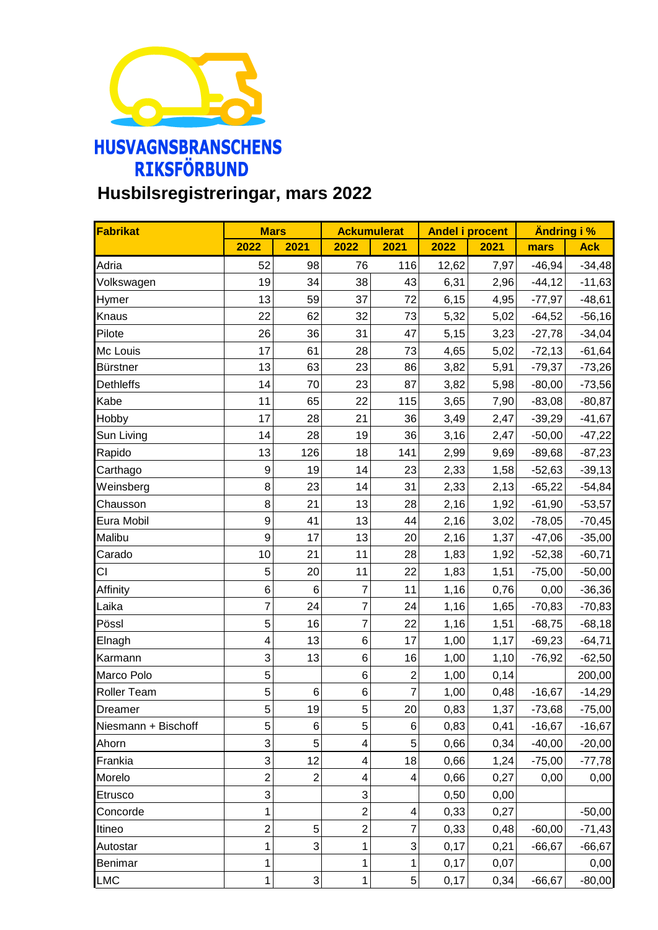

## **Husbilsregistreringar, mars 2022**

| Fabrikat            | <b>Mars</b>             |                           | <b>Ackumulerat</b>      |                | <b>Andel i procent</b> |      | <b>Andring i %</b> |            |
|---------------------|-------------------------|---------------------------|-------------------------|----------------|------------------------|------|--------------------|------------|
|                     | 2022                    | 2021                      | 2022                    | 2021           | 2022                   | 2021 | mars               | <b>Ack</b> |
| Adria               | 52                      | 98                        | 76                      | 116            | 12,62                  | 7,97 | $-46,94$           | $-34,48$   |
| Volkswagen          | 19                      | 34                        | 38                      | 43             | 6,31                   | 2,96 | $-44, 12$          | $-11,63$   |
| Hymer               | 13                      | 59                        | 37                      | 72             | 6,15                   | 4,95 | $-77,97$           | $-48,61$   |
| Knaus               | 22                      | 62                        | 32                      | 73             | 5,32                   | 5,02 | $-64,52$           | $-56,16$   |
| Pilote              | 26                      | 36                        | 31                      | 47             | 5,15                   | 3,23 | $-27,78$           | $-34,04$   |
| Mc Louis            | 17                      | 61                        | 28                      | 73             | 4,65                   | 5,02 | $-72,13$           | $-61,64$   |
| Bürstner            | 13                      | 63                        | 23                      | 86             | 3,82                   | 5,91 | $-79,37$           | $-73,26$   |
| <b>Dethleffs</b>    | 14                      | 70                        | 23                      | 87             | 3,82                   | 5,98 | $-80,00$           | $-73,56$   |
| Kabe                | 11                      | 65                        | 22                      | 115            | 3,65                   | 7,90 | $-83,08$           | $-80,87$   |
| Hobby               | 17                      | 28                        | 21                      | 36             | 3,49                   | 2,47 | $-39,29$           | $-41,67$   |
| Sun Living          | 14                      | 28                        | 19                      | 36             | 3,16                   | 2,47 | $-50,00$           | $-47,22$   |
| Rapido              | 13                      | 126                       | 18                      | 141            | 2,99                   | 9,69 | $-89,68$           | $-87,23$   |
| Carthago            | $\boldsymbol{9}$        | 19                        | 14                      | 23             | 2,33                   | 1,58 | $-52,63$           | $-39,13$   |
| Weinsberg           | 8                       | 23                        | 14                      | 31             | 2,33                   | 2,13 | $-65,22$           | $-54,84$   |
| Chausson            | 8                       | 21                        | 13                      | 28             | 2,16                   | 1,92 | $-61,90$           | $-53,57$   |
| Eura Mobil          | $\boldsymbol{9}$        | 41                        | 13                      | 44             | 2,16                   | 3,02 | $-78,05$           | $-70,45$   |
| Malibu              | $\boldsymbol{9}$        | 17                        | 13                      | 20             | 2,16                   | 1,37 | $-47,06$           | $-35,00$   |
| Carado              | 10                      | 21                        | 11                      | 28             | 1,83                   | 1,92 | $-52,38$           | $-60,71$   |
| CI                  | 5                       | 20                        | 11                      | 22             | 1,83                   | 1,51 | $-75,00$           | $-50,00$   |
| Affinity            | $\,6$                   | 6                         | $\overline{7}$          | 11             | 1,16                   | 0,76 | 0,00               | $-36,36$   |
| Laika               | 7                       | 24                        | $\overline{7}$          | 24             | 1,16                   | 1,65 | $-70,83$           | $-70,83$   |
| Pössl               | 5                       | 16                        | $\overline{7}$          | 22             | 1,16                   | 1,51 | $-68,75$           | $-68,18$   |
| Elnagh              | $\overline{\mathbf{4}}$ | 13                        | $\,6$                   | 17             | 1,00                   | 1,17 | $-69,23$           | $-64,71$   |
| Karmann             | 3                       | 13                        | $\,6$                   | 16             | 1,00                   | 1,10 | $-76,92$           | $-62,50$   |
| Marco Polo          | 5                       |                           | 6                       | $\overline{c}$ | 1,00                   | 0,14 |                    | 200,00     |
| Roller Team         | 5                       | 6                         | 6                       | $\overline{7}$ | 1,00                   | 0,48 | $-16,67$           | $-14,29$   |
| Dreamer             | 5                       | 19                        | 5                       | 20             | 0,83                   | 1,37 | $-73,68$           | $-75,00$   |
| Niesmann + Bischoff | 5                       | 6                         | 5                       | 6              | 0,83                   | 0,41 | $-16,67$           | $-16,67$   |
| Ahorn               | 3                       | 5                         | $\overline{\mathbf{4}}$ | 5              | 0,66                   | 0,34 | $-40,00$           | $-20,00$   |
| Frankia             | 3                       | 12                        | $\overline{\mathbf{4}}$ | 18             | 0,66                   | 1,24 | $-75,00$           | $-77,78$   |
| Morelo              | $\overline{c}$          | $\mathbf{2}$              | 4                       | 4              | 0,66                   | 0,27 | 0,00               | 0,00       |
| Etrusco             | 3                       |                           | 3                       |                | 0,50                   | 0,00 |                    |            |
| Concorde            | 1                       |                           | $\overline{c}$          | 4              | 0,33                   | 0,27 |                    | $-50,00$   |
| Itineo              | $\overline{c}$          | 5                         | $\overline{c}$          | $\overline{7}$ | 0,33                   | 0,48 | $-60,00$           | $-71,43$   |
| Autostar            | 1                       | 3                         | 1                       | 3              | 0,17                   | 0,21 | $-66, 67$          | $-66,67$   |
| Benimar             | 1                       |                           | 1                       | $\mathbf{1}$   | 0,17                   | 0,07 |                    | 0,00       |
| <b>LMC</b>          | 1                       | $\ensuremath{\mathsf{3}}$ | $\mathbf 1$             | 5 <sup>1</sup> | 0,17                   | 0,34 | $-66,67$           | $-80,00$   |